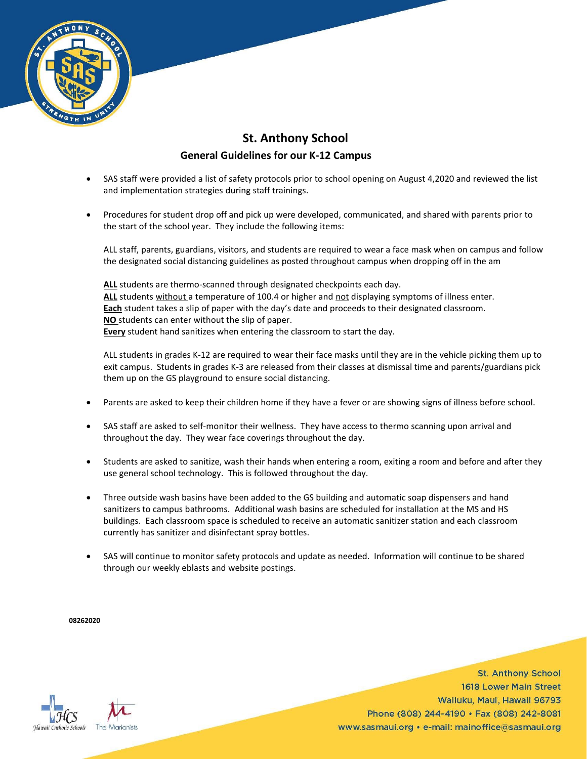

## **St. Anthony School General Guidelines for our K-12 Campus**

- SAS staff were provided a list of safety protocols prior to school opening on August 4,2020 and reviewed the list and implementation strategies during staff trainings.
- Procedures for student drop off and pick up were developed, communicated, and shared with parents prior to the start of the school year. They include the following items:

ALL staff, parents, guardians, visitors, and students are required to wear a face mask when on campus and follow the designated social distancing guidelines as posted throughout campus when dropping off in the am

ALL students are thermo-scanned through designated checkpoints each day. **ALL** students without a temperature of 100.4 or higher and not displaying symptoms of illness enter. **Each** student takes a slip of paper with the day's date and proceeds to their designated classroom. **NO** students can enter without the slip of paper. **Every** student hand sanitizes when entering the classroom to start the day.

ALL students in grades K-12 are required to wear their face masks until they are in the vehicle picking them up to exit campus. Students in grades K-3 are released from their classes at dismissal time and parents/guardians pick them up on the GS playground to ensure social distancing.

- Parents are asked to keep their children home if they have a fever or are showing signs of illness before school.
- SAS staff are asked to self-monitor their wellness. They have access to thermo scanning upon arrival and throughout the day. They wear face coverings throughout the day.
- Students are asked to sanitize, wash their hands when entering a room, exiting a room and before and after they use general school technology. This is followed throughout the day.
- Three outside wash basins have been added to the GS building and automatic soap dispensers and hand sanitizers to campus bathrooms. Additional wash basins are scheduled for installation at the MS and HS buildings. Each classroom space is scheduled to receive an automatic sanitizer station and each classroom currently has sanitizer and disinfectant spray bottles.
- SAS will continue to monitor safety protocols and update as needed. Information will continue to be shared through our weekly eblasts and website postings.

**08262020**



**St. Anthony School** 1618 Lower Main Street Wailuku, Maui, Hawaii 96793 Phone (808) 244-4190 · Fax (808) 242-8081 www.sasmaui.org • e-mail: mainoffice@sasmaui.org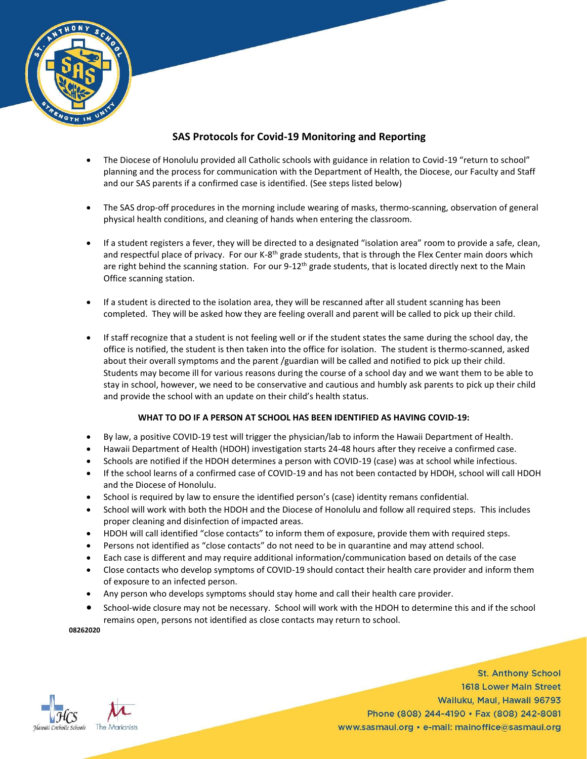

## **SAS Protocols for Covid-19 Monitoring and Reporting**

- The Diocese of Honolulu provided all Catholic schools with guidance in relation to Covid-19 "return to school" planning and the process for communication with the Department of Health, the Diocese, our Faculty and Staff and our SAS parents if a confirmed case is identified. (See steps listed below)
- The SAS drop-off procedures in the morning include wearing of masks, thermo-scanning, observation of general physical health conditions, and cleaning of hands when entering the classroom.
- If a student registers a fever, they will be directed to a designated "isolation area" room to provide a safe, clean, and respectful place of privacy. For our K-8<sup>th</sup> grade students, that is through the Flex Center main doors which are right behind the scanning station. For our 9-12<sup>th</sup> grade students, that is located directly next to the Main Office scanning station.
- If a student is directed to the isolation area, they will be rescanned after all student scanning has been completed. They will be asked how they are feeling overall and parent will be called to pick up their child.
- If staff recognize that a student is not feeling well or if the student states the same during the school day, the office is notified, the student is then taken into the office for isolation. The student is thermo-scanned, asked about their overall symptoms and the parent /guardian will be called and notified to pick up their child. Students may become ill for various reasons during the course of a school day and we want them to be able to stay in school, however, we need to be conservative and cautious and humbly ask parents to pick up their child and provide the school with an update on their child's health status.

## **WHAT TO DO IF A PERSON AT SCHOOL HAS BEEN IDENTIFIED AS HAVING COVID-19:**

- By law, a positive COVID-19 test will trigger the physician/lab to inform the Hawaii Department of Health.
- Hawaii Department of Health (HDOH) investigation starts 24-48 hours after they receive a confirmed case.
- Schools are notified if the HDOH determines a person with COVID-19 (case) was at school while infectious.
- If the school learns of a confirmed case of COVID-19 and has not been contacted by HDOH, school will call HDOH and the Diocese of Honolulu.
- School is required by law to ensure the identified person's (case) identity remans confidential.
- School will work with both the HDOH and the Diocese of Honolulu and follow all required steps. This includes proper cleaning and disinfection of impacted areas.
- HDOH will call identified "close contacts" to inform them of exposure, provide them with required steps.
- Persons not identified as "close contacts" do not need to be in quarantine and may attend school.
- Each case is different and may require additional information/communication based on details of the case
- Close contacts who develop symptoms of COVID-19 should contact their health care provider and inform them of exposure to an infected person.
- Any person who develops symptoms should stay home and call their health care provider.
- School-wide closure may not be necessary. School will work with the HDOH to determine this and if the school remains open, persons not identified as close contacts may return to school.

**08262020**



**St. Anthony School** 1618 Lower Main Street Wailuku, Maui, Hawaii 96793 Phone (808) 244-4190 · Fax (808) 242-8081 www.sasmaui.org • e-mail: mainoffice@sasmaui.org